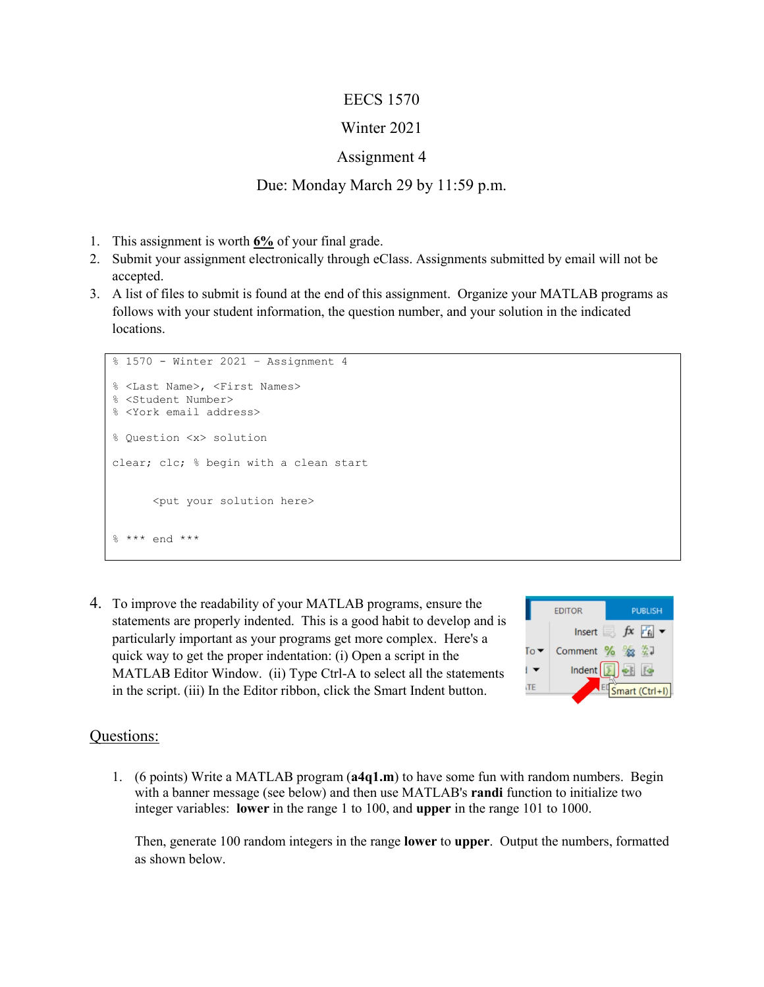### EECS 1570

# Winter 2021

## Assignment 4

### Due: Monday March 29 by 11:59 p.m.

- 1. This assignment is worth **6%** of your final grade.
- 2. Submit your assignment electronically through eClass. Assignments submitted by email will not be accepted.
- 3. A list of files to submit is found at the end of this assignment. Organize your MATLAB programs as follows with your student information, the question number, and your solution in the indicated locations.

```
% 1570 - Winter 2021 – Assignment 4
% <Last Name>, <First Names>
% <Student Number>
% <York email address>
% Question <x> solution 
clear; clc; % begin with a clean start
      <put your solution here>
 *** end ***
```
4. To improve the readability of your MATLAB programs, ensure the statements are properly indented. This is a good habit to develop and is particularly important as your programs get more complex. Here's a quick way to get the proper indentation: (i) Open a script in the MATLAB Editor Window. (ii) Type Ctrl-A to select all the statements in the script. (iii) In the Editor ribbon, click the Smart Indent button.



### Questions:

1. (6 points) Write a MATLAB program (**a4q1.m**) to have some fun with random numbers. Begin with a banner message (see below) and then use MATLAB's **randi** function to initialize two integer variables: **lower** in the range 1 to 100, and **upper** in the range 101 to 1000.

Then, generate 100 random integers in the range **lower** to **upper**. Output the numbers, formatted as shown below.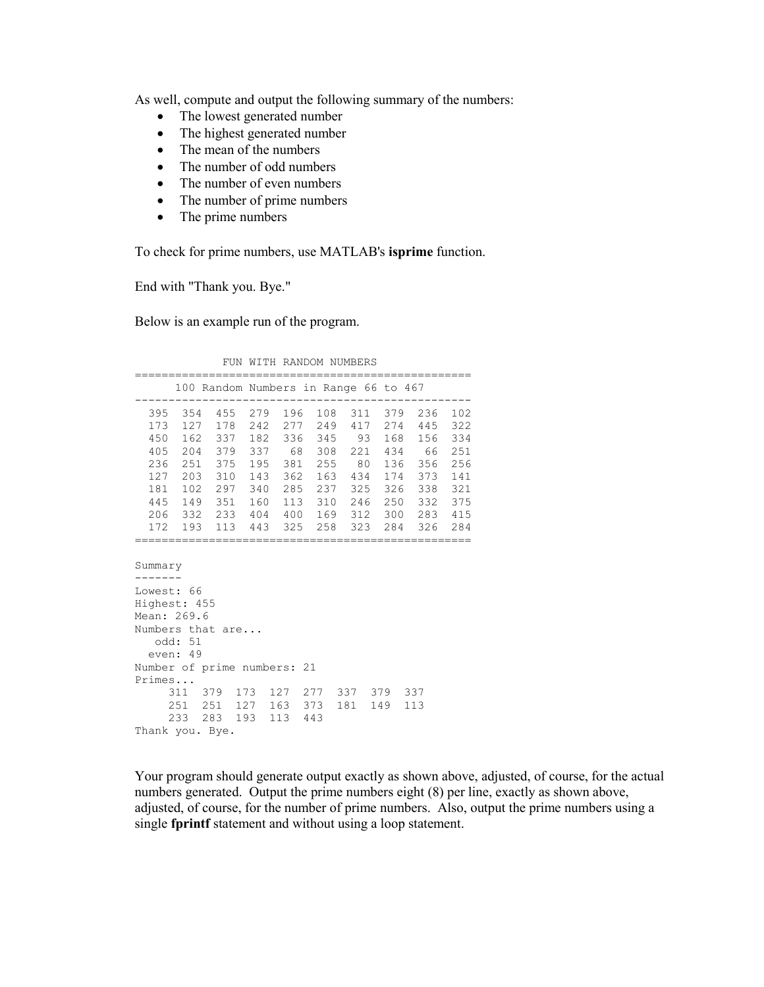As well, compute and output the following summary of the numbers:

- The lowest generated number
- The highest generated number
- The mean of the numbers
- The number of odd numbers
- The number of even numbers
- The number of prime numbers
- The prime numbers

To check for prime numbers, use MATLAB's **isprime** function.

End with "Thank you. Bye."

Below is an example run of the program.

FUN WITH RANDOM NUMBERS

|                             |  | 100 Random Numbers in Range 66 to 467   |  |  |  |  |  |  |  |
|-----------------------------|--|-----------------------------------------|--|--|--|--|--|--|--|
|                             |  | 395 354 455 279 196 108 311 379 236 102 |  |  |  |  |  |  |  |
|                             |  | 173 127 178 242 277 249 417 274 445 322 |  |  |  |  |  |  |  |
|                             |  | 450 162 337 182 336 345 93 168 156 334  |  |  |  |  |  |  |  |
|                             |  | 405 204 379 337 68 308 221 434 66 251   |  |  |  |  |  |  |  |
|                             |  | 236 251 375 195 381 255 80 136 356 256  |  |  |  |  |  |  |  |
|                             |  | 127 203 310 143 362 163 434 174 373 141 |  |  |  |  |  |  |  |
|                             |  | 181 102 297 340 285 237 325 326 338 321 |  |  |  |  |  |  |  |
|                             |  | 445 149 351 160 113 310 246 250 332 375 |  |  |  |  |  |  |  |
|                             |  | 206 332 233 404 400 169 312 300 283 415 |  |  |  |  |  |  |  |
|                             |  | 172 193 113 443 325 258 323 284 326 284 |  |  |  |  |  |  |  |
|                             |  |                                         |  |  |  |  |  |  |  |
| Summary                     |  |                                         |  |  |  |  |  |  |  |
|                             |  |                                         |  |  |  |  |  |  |  |
| Lowest: 66                  |  |                                         |  |  |  |  |  |  |  |
| Highest: 455                |  |                                         |  |  |  |  |  |  |  |
| Mean: 269.6                 |  |                                         |  |  |  |  |  |  |  |
| Numbers that are            |  |                                         |  |  |  |  |  |  |  |
| odd: 51                     |  |                                         |  |  |  |  |  |  |  |
| even: 49                    |  |                                         |  |  |  |  |  |  |  |
| Number of prime numbers: 21 |  |                                         |  |  |  |  |  |  |  |
| Primes                      |  |                                         |  |  |  |  |  |  |  |
|                             |  | 311 379 173 127 277 337 379 337         |  |  |  |  |  |  |  |
|                             |  | 251 251 127 163 373 181 149 113         |  |  |  |  |  |  |  |
|                             |  | 233 283 193 113 443                     |  |  |  |  |  |  |  |
| Thank you. Bye.             |  |                                         |  |  |  |  |  |  |  |

Your program should generate output exactly as shown above, adjusted, of course, for the actual numbers generated. Output the prime numbers eight (8) per line, exactly as shown above, adjusted, of course, for the number of prime numbers. Also, output the prime numbers using a single **fprintf** statement and without using a loop statement.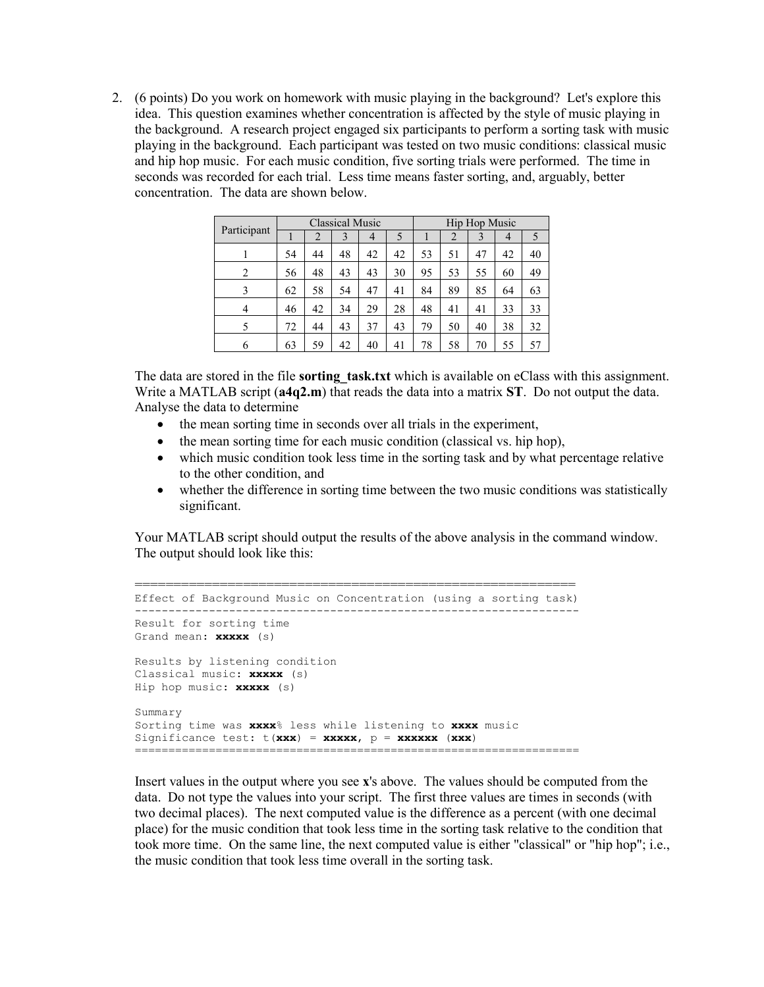2. (6 points) Do you work on homework with music playing in the background? Let's explore this idea. This question examines whether concentration is affected by the style of music playing in the background. A research project engaged six participants to perform a sorting task with music playing in the background. Each participant was tested on two music conditions: classical music and hip hop music. For each music condition, five sorting trials were performed. The time in seconds was recorded for each trial. Less time means faster sorting, and, arguably, better concentration. The data are shown below.

|                | <b>Classical Music</b> |    |    |                | Hip Hop Music |    |    |    |    |               |
|----------------|------------------------|----|----|----------------|---------------|----|----|----|----|---------------|
| Participant    |                        | 2  | 3  | $\overline{4}$ | 5             |    | 2  | 3  | 4  | $\mathcal{L}$ |
|                | 54                     | 44 | 48 | 42             | 42            | 53 | 51 | 47 | 42 | 40            |
| 2              | 56                     | 48 | 43 | 43             | 30            | 95 | 53 | 55 | 60 | 49            |
| 3              | 62                     | 58 | 54 | 47             | 41            | 84 | 89 | 85 | 64 | 63            |
| $\overline{4}$ | 46                     | 42 | 34 | 29             | 28            | 48 | 41 | 41 | 33 | 33            |
| 5              | 72                     | 44 | 43 | 37             | 43            | 79 | 50 | 40 | 38 | 32            |
| 6              | 63                     | 59 | 42 | 40             | 41            | 78 | 58 | 70 | 55 | 57            |

The data are stored in the file **sorting task.txt** which is available on eClass with this assignment. Write a MATLAB script (**a4q2.m**) that reads the data into a matrix **ST**. Do not output the data. Analyse the data to determine

- the mean sorting time in seconds over all trials in the experiment,
- the mean sorting time for each music condition (classical vs. hip hop),
- which music condition took less time in the sorting task and by what percentage relative to the other condition, and
- whether the difference in sorting time between the two music conditions was statistically significant.

Your MATLAB script should output the results of the above analysis in the command window. The output should look like this:

```
=========================================================
Effect of Background Music on Concentration (using a sorting task)
------------------------------------------------------------------
Result for sorting time
Grand mean: xxxxx (s)
Results by listening condition
Classical music: xxxxx (s)
Hip hop music: xxxxx (s)
Summary
Sorting time was xxxx% less while listening to xxxx music
Significance test: t(xxx) = xxxxx, p = xxxxxx (xxx)
==================================================================
```
Insert values in the output where you see **x**'s above. The values should be computed from the data. Do not type the values into your script. The first three values are times in seconds (with two decimal places). The next computed value is the difference as a percent (with one decimal place) for the music condition that took less time in the sorting task relative to the condition that took more time. On the same line, the next computed value is either "classical" or "hip hop"; i.e., the music condition that took less time overall in the sorting task.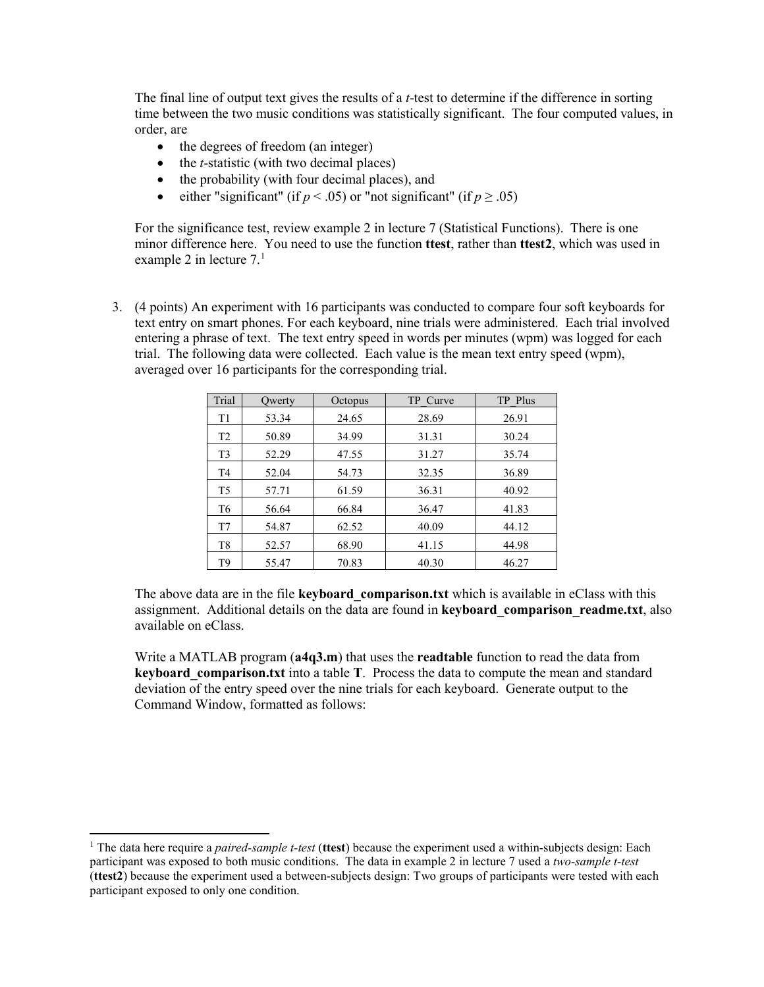The final line of output text gives the results of a *t*-test to determine if the difference in sorting time between the two music conditions was statistically significant. The four computed values, in order, are

- the degrees of freedom (an integer)
- the *t*-statistic (with two decimal places)
- the probability (with four decimal places), and
- either "significant" (if  $p < .05$ ) or "not significant" (if  $p \ge .05$ )

For the significance test, review example 2 in lecture 7 (Statistical Functions). There is one minor difference here. You need to use the function **ttest**, rather than **ttest2**, which was used in example 2 in lecture  $7<sup>1</sup>$  $7<sup>1</sup>$  $7<sup>1</sup>$ 

3. (4 points) An experiment with 16 participants was conducted to compare four soft keyboards for text entry on smart phones. For each keyboard, nine trials were administered. Each trial involved entering a phrase of text. The text entry speed in words per minutes (wpm) was logged for each trial. The following data were collected. Each value is the mean text entry speed (wpm), averaged over 16 participants for the corresponding trial.

| Trial          | Owerty | Octopus | TP Curve | TP Plus |
|----------------|--------|---------|----------|---------|
| T <sub>1</sub> | 53.34  | 24.65   | 28.69    | 26.91   |
| T <sub>2</sub> | 50.89  | 34.99   | 31.31    | 30.24   |
| T <sub>3</sub> | 52.29  | 47.55   | 31.27    | 35.74   |
| T4             | 52.04  | 54.73   | 32.35    | 36.89   |
| T <sub>5</sub> | 57.71  | 61.59   | 36.31    | 40.92   |
| T <sub>6</sub> | 56.64  | 66.84   | 36.47    | 41.83   |
| T7             | 54.87  | 62.52   | 40.09    | 44.12   |
| T8             | 52.57  | 68.90   | 41.15    | 44.98   |
| T9             | 55.47  | 70.83   | 40.30    | 46.27   |

The above data are in the file **keyboard** comparison.txt which is available in eClass with this assignment. Additional details on the data are found in **keyboard** comparison readme.txt, also available on eClass.

Write a MATLAB program (**a4q3.m**) that uses the **readtable** function to read the data from **keyboard** comparison.txt into a table **T**. Process the data to compute the mean and standard deviation of the entry speed over the nine trials for each keyboard. Generate output to the Command Window, formatted as follows:

<span id="page-3-0"></span> <sup>1</sup> The data here require a *paired-sample t-test* (**ttest**) because the experiment used a within-subjects design: Each participant was exposed to both music conditions. The data in example 2 in lecture 7 used a *two-sample t-test* (**ttest2**) because the experiment used a between-subjects design: Two groups of participants were tested with each participant exposed to only one condition.